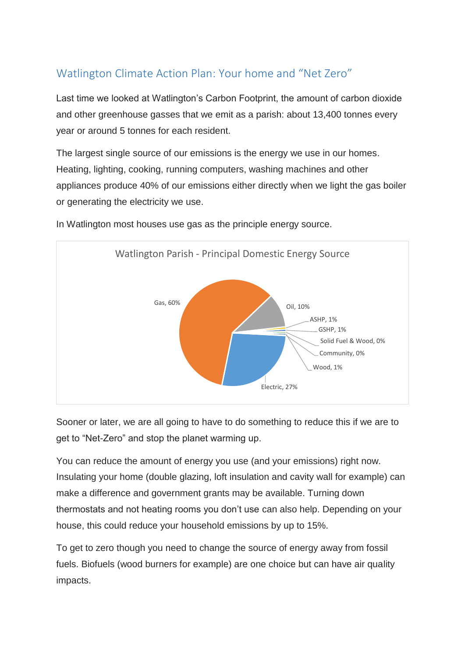## Watlington Climate Action Plan: Your home and "Net Zero"

Last time we looked at Watlington's Carbon Footprint, the amount of carbon dioxide and other greenhouse gasses that we emit as a parish: about 13,400 tonnes every year or around 5 tonnes for each resident.

The largest single source of our emissions is the energy we use in our homes. Heating, lighting, cooking, running computers, washing machines and other appliances produce 40% of our emissions either directly when we light the gas boiler or generating the electricity we use.



In Watlington most houses use gas as the principle energy source.

Sooner or later, we are all going to have to do something to reduce this if we are to get to "Net-Zero" and stop the planet warming up.

You can reduce the amount of energy you use (and your emissions) right now. Insulating your home (double glazing, loft insulation and cavity wall for example) can make a difference and government grants may be available. Turning down thermostats and not heating rooms you don't use can also help. Depending on your house, this could reduce your household emissions by up to 15%.

To get to zero though you need to change the source of energy away from fossil fuels. Biofuels (wood burners for example) are one choice but can have air quality impacts.